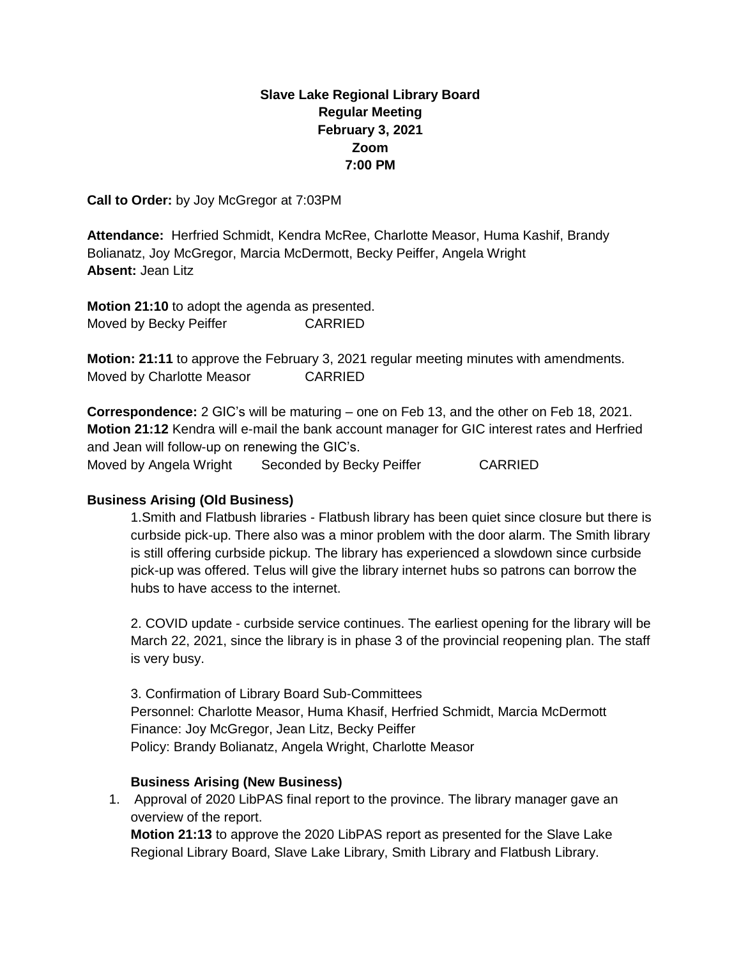# **Slave Lake Regional Library Board Regular Meeting February 3, 2021 Zoom 7:00 PM**

**Call to Order:** by Joy McGregor at 7:03PM

**Attendance:** Herfried Schmidt, Kendra McRee, Charlotte Measor, Huma Kashif, Brandy Bolianatz, Joy McGregor, Marcia McDermott, Becky Peiffer, Angela Wright **Absent:** Jean Litz

**Motion 21:10** to adopt the agenda as presented. Moved by Becky Peiffer CARRIED

**Motion: 21:11** to approve the February 3, 2021 regular meeting minutes with amendments. Moved by Charlotte Measor CARRIED

**Correspondence:** 2 GIC's will be maturing – one on Feb 13, and the other on Feb 18, 2021. **Motion 21:12** Kendra will e-mail the bank account manager for GIC interest rates and Herfried and Jean will follow-up on renewing the GIC's. Moved by Angela Wright Seconded by Becky Peiffer CARRIED

#### **Business Arising (Old Business)**

1.Smith and Flatbush libraries - Flatbush library has been quiet since closure but there is curbside pick-up. There also was a minor problem with the door alarm. The Smith library is still offering curbside pickup. The library has experienced a slowdown since curbside pick-up was offered. Telus will give the library internet hubs so patrons can borrow the hubs to have access to the internet.

2. COVID update - curbside service continues. The earliest opening for the library will be March 22, 2021, since the library is in phase 3 of the provincial reopening plan. The staff is very busy.

3. Confirmation of Library Board Sub-Committees Personnel: Charlotte Measor, Huma Khasif, Herfried Schmidt, Marcia McDermott Finance: Joy McGregor, Jean Litz, Becky Peiffer Policy: Brandy Bolianatz, Angela Wright, Charlotte Measor

#### **Business Arising (New Business)**

1. Approval of 2020 LibPAS final report to the province. The library manager gave an overview of the report. **Motion 21:13** to approve the 2020 LibPAS report as presented for the Slave Lake

Regional Library Board, Slave Lake Library, Smith Library and Flatbush Library.